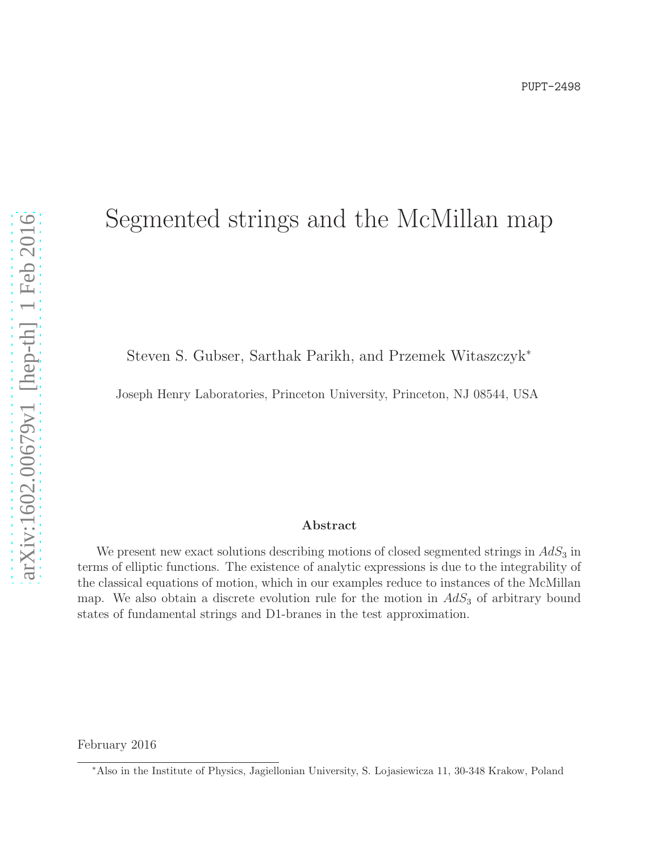# Segmented strings and the McMillan map

Steven S. Gubser, Sarthak Parikh, and Przemek Witaszczyk<sup>∗</sup>

Joseph Henry Laboratories, Princeton University, Princeton, NJ 08544, USA

#### Abstract

We present new exact solutions describing motions of closed segmented strings in  $AdS_3$  in terms of elliptic functions. The existence of analytic expressions is due to the integrability of the classical equations of motion, which in our examples reduce to instances of the McMillan map. We also obtain a discrete evolution rule for the motion in  $AdS<sub>3</sub>$  of arbitrary bound states of fundamental strings and D1-branes in the test approximation.

February 2016

<sup>∗</sup>Also in the Institute of Physics, Jagiellonian University, S. Lojasiewicza 11, 30-348 Krakow, Poland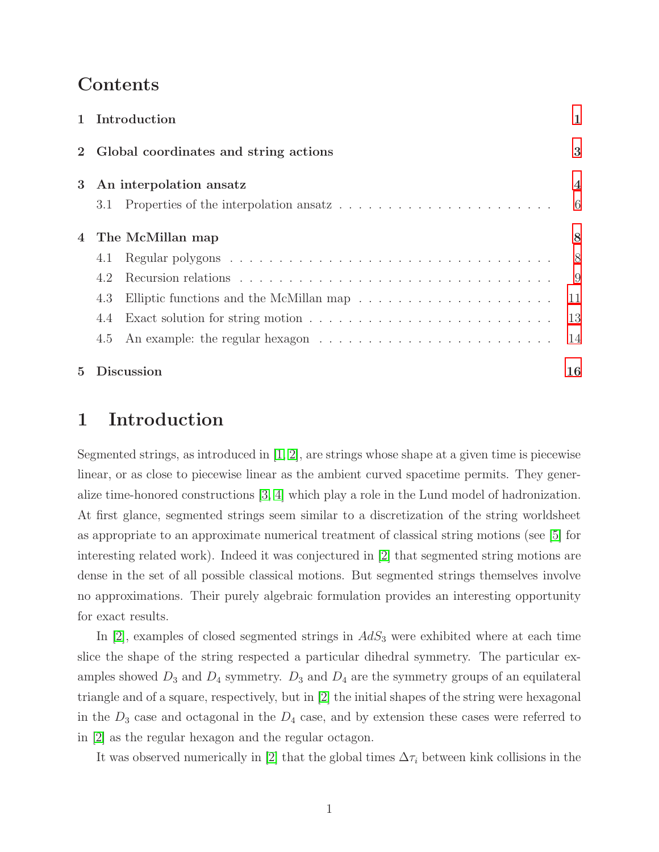# Contents

|                | 1 Introduction                                                                                 | $\mathbf{1}$   |
|----------------|------------------------------------------------------------------------------------------------|----------------|
|                | Global coordinates and string actions                                                          | 3              |
| 3 <sup>1</sup> | An interpolation ansatz                                                                        | $\overline{4}$ |
|                | 3.1                                                                                            | -6             |
| 4              | The McMillan map                                                                               | 8              |
|                | 4.1                                                                                            | - 8            |
|                | 4.2                                                                                            | -9             |
|                | 4.3                                                                                            | 11             |
|                | 4.4                                                                                            | 13             |
|                | An example: the regular hexagon $\dots \dots \dots \dots \dots \dots \dots \dots \dots$<br>4.5 | 14             |
| $5^{\circ}$    | <b>Discussion</b>                                                                              | 16             |

# <span id="page-1-0"></span>1 Introduction

Segmented strings, as introduced in [\[1,](#page-17-0) [2\]](#page-17-1), are strings whose shape at a given time is piecewise linear, or as close to piecewise linear as the ambient curved spacetime permits. They generalize time-honored constructions [\[3,](#page-17-2) [4\]](#page-17-3) which play a role in the Lund model of hadronization. At first glance, segmented strings seem similar to a discretization of the string worldsheet as appropriate to an approximate numerical treatment of classical string motions (see [\[5\]](#page-17-4) for interesting related work). Indeed it was conjectured in [\[2\]](#page-17-1) that segmented string motions are dense in the set of all possible classical motions. But segmented strings themselves involve no approximations. Their purely algebraic formulation provides an interesting opportunity for exact results.

In  $[2]$ , examples of closed segmented strings in  $AdS_3$  were exhibited where at each time slice the shape of the string respected a particular dihedral symmetry. The particular examples showed  $D_3$  and  $D_4$  symmetry.  $D_3$  and  $D_4$  are the symmetry groups of an equilateral triangle and of a square, respectively, but in [\[2\]](#page-17-1) the initial shapes of the string were hexagonal in the  $D_3$  case and octagonal in the  $D_4$  case, and by extension these cases were referred to in [\[2\]](#page-17-1) as the regular hexagon and the regular octagon.

It was observed numerically in [\[2\]](#page-17-1) that the global times  $\Delta \tau_i$  between kink collisions in the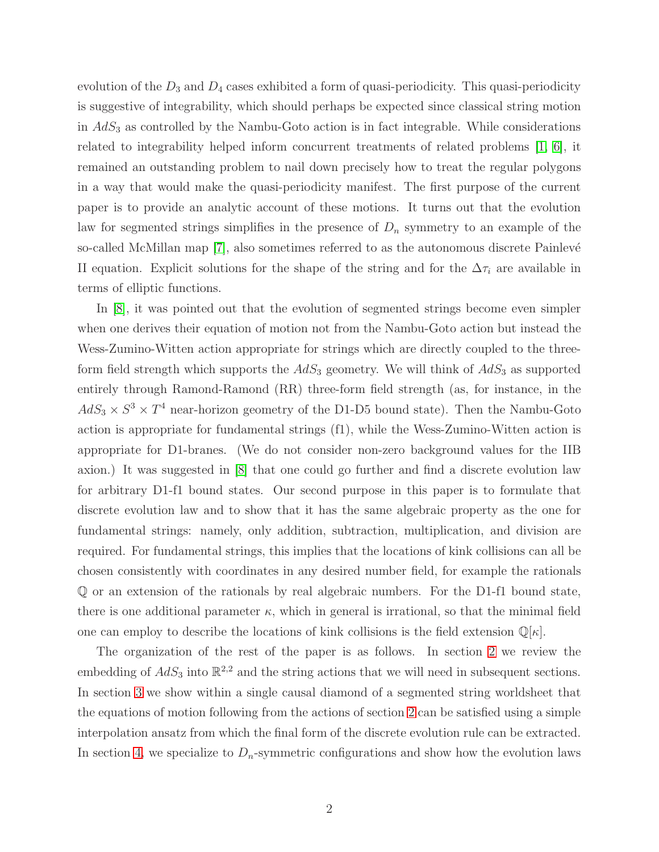evolution of the  $D_3$  and  $D_4$  cases exhibited a form of quasi-periodicity. This quasi-periodicity is suggestive of integrability, which should perhaps be expected since classical string motion in  $AdS<sub>3</sub>$  as controlled by the Nambu-Goto action is in fact integrable. While considerations related to integrability helped inform concurrent treatments of related problems [\[1,](#page-17-0) [6\]](#page-17-5), it remained an outstanding problem to nail down precisely how to treat the regular polygons in a way that would make the quasi-periodicity manifest. The first purpose of the current paper is to provide an analytic account of these motions. It turns out that the evolution law for segmented strings simplifies in the presence of  $D_n$  symmetry to an example of the so-called McMillan map  $[7]$ , also sometimes referred to as the autonomous discrete Painlevé II equation. Explicit solutions for the shape of the string and for the  $\Delta \tau_i$  are available in terms of elliptic functions.

In [\[8\]](#page-17-7), it was pointed out that the evolution of segmented strings become even simpler when one derives their equation of motion not from the Nambu-Goto action but instead the Wess-Zumino-Witten action appropriate for strings which are directly coupled to the threeform field strength which supports the  $AdS_3$  geometry. We will think of  $AdS_3$  as supported entirely through Ramond-Ramond (RR) three-form field strength (as, for instance, in the  $AdS_3 \times S^3 \times T^4$  near-horizon geometry of the D1-D5 bound state). Then the Nambu-Goto action is appropriate for fundamental strings (f1), while the Wess-Zumino-Witten action is appropriate for D1-branes. (We do not consider non-zero background values for the IIB axion.) It was suggested in [\[8\]](#page-17-7) that one could go further and find a discrete evolution law for arbitrary D1-f1 bound states. Our second purpose in this paper is to formulate that discrete evolution law and to show that it has the same algebraic property as the one for fundamental strings: namely, only addition, subtraction, multiplication, and division are required. For fundamental strings, this implies that the locations of kink collisions can all be chosen consistently with coordinates in any desired number field, for example the rationals Q or an extension of the rationals by real algebraic numbers. For the D1-f1 bound state, there is one additional parameter  $\kappa$ , which in general is irrational, so that the minimal field one can employ to describe the locations of kink collisions is the field extension  $\mathbb{Q}[\kappa]$ .

The organization of the rest of the paper is as follows. In section [2](#page-3-0) we review the embedding of  $AdS_3$  into  $\mathbb{R}^{2,2}$  and the string actions that we will need in subsequent sections. In section [3](#page-4-0) we show within a single causal diamond of a segmented string worldsheet that the equations of motion following from the actions of section [2](#page-3-0) can be satisfied using a simple interpolation ansatz from which the final form of the discrete evolution rule can be extracted. In section [4,](#page-8-0) we specialize to  $D_n$ -symmetric configurations and show how the evolution laws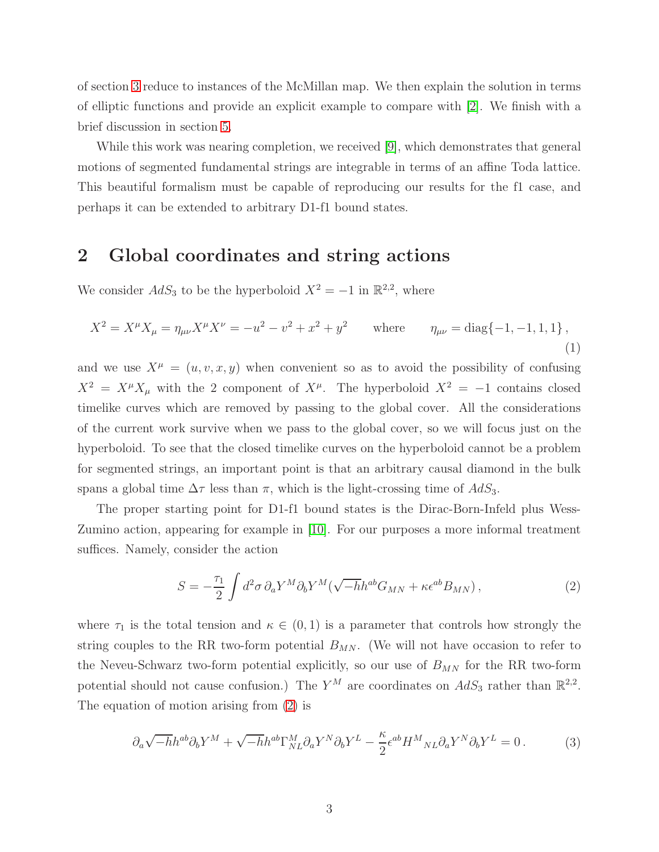of section [3](#page-4-0) reduce to instances of the McMillan map. We then explain the solution in terms of elliptic functions and provide an explicit example to compare with [\[2\]](#page-17-1). We finish with a brief discussion in section [5.](#page-16-0)

While this work was nearing completion, we received [\[9\]](#page-17-8), which demonstrates that general motions of segmented fundamental strings are integrable in terms of an affine Toda lattice. This beautiful formalism must be capable of reproducing our results for the f1 case, and perhaps it can be extended to arbitrary D1-f1 bound states.

# <span id="page-3-0"></span>2 Global coordinates and string actions

We consider  $AdS_3$  to be the hyperboloid  $X^2 = -1$  in  $\mathbb{R}^{2,2}$ , where

$$
X^{2} = X^{\mu}X_{\mu} = \eta_{\mu\nu}X^{\mu}X^{\nu} = -u^{2} - v^{2} + x^{2} + y^{2} \quad \text{where} \quad \eta_{\mu\nu} = \text{diag}\{-1, -1, 1, 1\},
$$
\n(1)

and we use  $X^{\mu} = (u, v, x, y)$  when convenient so as to avoid the possibility of confusing  $X^2 = X^{\mu} X_{\mu}$  with the 2 component of  $X^{\mu}$ . The hyperboloid  $X^2 = -1$  contains closed timelike curves which are removed by passing to the global cover. All the considerations of the current work survive when we pass to the global cover, so we will focus just on the hyperboloid. To see that the closed timelike curves on the hyperboloid cannot be a problem for segmented strings, an important point is that an arbitrary causal diamond in the bulk spans a global time  $\Delta \tau$  less than  $\pi$ , which is the light-crossing time of  $AdS_3$ .

The proper starting point for D1-f1 bound states is the Dirac-Born-Infeld plus Wess-Zumino action, appearing for example in [\[10\]](#page-17-9). For our purposes a more informal treatment suffices. Namely, consider the action

<span id="page-3-1"></span>
$$
S = -\frac{\tau_1}{2} \int d^2 \sigma \, \partial_a Y^M \partial_b Y^M (\sqrt{-h} h^{ab} G_{MN} + \kappa \epsilon^{ab} B_{MN}), \tag{2}
$$

where  $\tau_1$  is the total tension and  $\kappa \in (0,1)$  is a parameter that controls how strongly the string couples to the RR two-form potential  $B_{MN}$ . (We will not have occasion to refer to the Neveu-Schwarz two-form potential explicitly, so our use of  $B_{MN}$  for the RR two-form potential should not cause confusion.) The  $Y^M$  are coordinates on  $AdS_3$  rather than  $\mathbb{R}^{2,2}$ . The equation of motion arising from [\(2\)](#page-3-1) is

<span id="page-3-2"></span>
$$
\partial_a \sqrt{-h} h^{ab} \partial_b Y^M + \sqrt{-h} h^{ab} \Gamma^M_{NL} \partial_a Y^N \partial_b Y^L - \frac{\kappa}{2} \epsilon^{ab} H^M{}_{NL} \partial_a Y^N \partial_b Y^L = 0 \,. \tag{3}
$$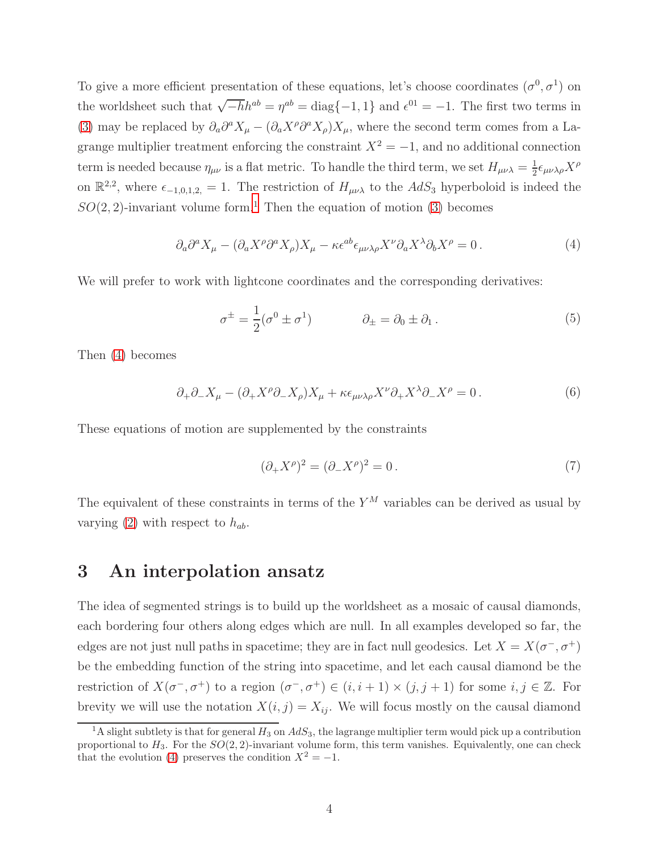To give a more efficient presentation of these equations, let's choose coordinates  $(\sigma^0, \sigma^1)$  on the worldsheet such that  $\sqrt{-h}h^{ab} = \eta^{ab} = \text{diag}\{-1, 1\}$  and  $\epsilon^{01} = -1$ . The first two terms in [\(3\)](#page-3-2) may be replaced by  $\partial_a \partial^a X_\mu - (\partial_a X^\rho \partial^a X_\rho) X_\mu$ , where the second term comes from a Lagrange multiplier treatment enforcing the constraint  $X^2 = -1$ , and no additional connection term is needed because  $\eta_{\mu\nu}$  is a flat metric. To handle the third term, we set  $H_{\mu\nu\lambda} = \frac{1}{2}$  $\frac{1}{2}\epsilon_{\mu\nu\lambda\rho}X^{\rho}$ on  $\mathbb{R}^{2,2}$ , where  $\epsilon_{-1,0,1,2,} = 1$ . The restriction of  $H_{\mu\nu\lambda}$  to the  $AdS_3$  hyperboloid is indeed the  $SO(2, 2)$ -invariant volume form.<sup>[1](#page-4-1)</sup> Then the equation of motion [\(3\)](#page-3-2) becomes

<span id="page-4-2"></span>
$$
\partial_a \partial^a X_\mu - (\partial_a X^\rho \partial^a X_\rho) X_\mu - \kappa \epsilon^{ab} \epsilon_{\mu\nu\lambda\rho} X^\nu \partial_a X^\lambda \partial_b X^\rho = 0. \tag{4}
$$

We will prefer to work with lightcone coordinates and the corresponding derivatives:

$$
\sigma^{\pm} = \frac{1}{2} (\sigma^0 \pm \sigma^1) \qquad \partial_{\pm} = \partial_0 \pm \partial_1 . \qquad (5)
$$

Then [\(4\)](#page-4-2) becomes

<span id="page-4-3"></span>
$$
\partial_+ \partial_- X_\mu - (\partial_+ X^\rho \partial_- X_\rho) X_\mu + \kappa \epsilon_{\mu\nu\lambda\rho} X^\nu \partial_+ X^\lambda \partial_- X^\rho = 0. \tag{6}
$$

These equations of motion are supplemented by the constraints

$$
(\partial_+ X^\rho)^2 = (\partial_- X^\rho)^2 = 0. \tag{7}
$$

The equivalent of these constraints in terms of the  $Y^M$  variables can be derived as usual by varying [\(2\)](#page-3-1) with respect to  $h_{ab}$ .

### <span id="page-4-0"></span>3 An interpolation ansatz

The idea of segmented strings is to build up the worldsheet as a mosaic of causal diamonds, each bordering four others along edges which are null. In all examples developed so far, the edges are not just null paths in spacetime; they are in fact null geodesics. Let  $X = X(\sigma^-, \sigma^+)$ be the embedding function of the string into spacetime, and let each causal diamond be the restriction of  $X(\sigma^-,\sigma^+)$  to a region  $(\sigma^-,\sigma^+) \in (i,i+1) \times (j,j+1)$  for some  $i, j \in \mathbb{Z}$ . For brevity we will use the notation  $X(i, j) = X_{ij}$ . We will focus mostly on the causal diamond

<span id="page-4-1"></span><sup>&</sup>lt;sup>1</sup>A slight subtlety is that for general  $H_3$  on  $AdS_3$ , the lagrange multiplier term would pick up a contribution proportional to  $H_3$ . For the  $SO(2, 2)$ -invariant volume form, this term vanishes. Equivalently, one can check that the evolution [\(4\)](#page-4-2) preserves the condition  $X^2 = -1$ .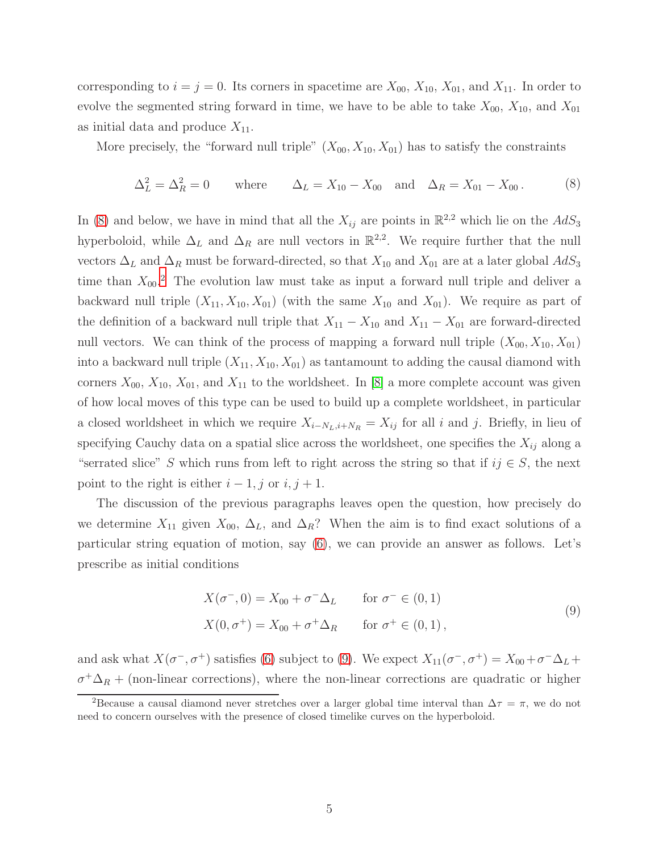corresponding to  $i = j = 0$ . Its corners in spacetime are  $X_{00}$ ,  $X_{10}$ ,  $X_{01}$ , and  $X_{11}$ . In order to evolve the segmented string forward in time, we have to be able to take  $X_{00}$ ,  $X_{10}$ , and  $X_{01}$ as initial data and produce  $X_{11}$ .

More precisely, the "forward null triple"  $(X_{00}, X_{10}, X_{01})$  has to satisfy the constraints

<span id="page-5-0"></span>
$$
\Delta_L^2 = \Delta_R^2 = 0 \quad \text{where} \quad \Delta_L = X_{10} - X_{00} \quad \text{and} \quad \Delta_R = X_{01} - X_{00}. \tag{8}
$$

In [\(8\)](#page-5-0) and below, we have in mind that all the  $X_{ij}$  are points in  $\mathbb{R}^{2,2}$  which lie on the  $AdS_3$ hyperboloid, while  $\Delta_L$  and  $\Delta_R$  are null vectors in  $\mathbb{R}^{2,2}$ . We require further that the null vectors  $\Delta_L$  and  $\Delta_R$  must be forward-directed, so that  $X_{10}$  and  $X_{01}$  are at a later global  $AdS_3$ time than  $X_{00}$ <sup>[2](#page-5-1)</sup>. The evolution law must take as input a forward null triple and deliver a backward null triple  $(X_{11}, X_{10}, X_{01})$  (with the same  $X_{10}$  and  $X_{01}$ ). We require as part of the definition of a backward null triple that  $X_{11} - X_{10}$  and  $X_{11} - X_{01}$  are forward-directed null vectors. We can think of the process of mapping a forward null triple  $(X_{00}, X_{10}, X_{01})$ into a backward null triple  $(X_{11}, X_{10}, X_{01})$  as tantamount to adding the causal diamond with corners  $X_{00}$ ,  $X_{10}$ ,  $X_{01}$ , and  $X_{11}$  to the worldsheet. In [\[8\]](#page-17-7) a more complete account was given of how local moves of this type can be used to build up a complete worldsheet, in particular a closed worldsheet in which we require  $X_{i-N_L,i+N_R} = X_{ij}$  for all i and j. Briefly, in lieu of specifying Cauchy data on a spatial slice across the worldsheet, one specifies the  $X_{ij}$  along a "serrated slice" S which runs from left to right across the string so that if  $ij \in S$ , the next point to the right is either  $i - 1$ , j or  $i, j + 1$ .

The discussion of the previous paragraphs leaves open the question, how precisely do we determine  $X_{11}$  given  $X_{00}$ ,  $\Delta_L$ , and  $\Delta_R$ ? When the aim is to find exact solutions of a particular string equation of motion, say [\(6\)](#page-4-3), we can provide an answer as follows. Let's prescribe as initial conditions

<span id="page-5-2"></span>
$$
X(\sigma^-, 0) = X_{00} + \sigma^- \Delta_L \qquad \text{for } \sigma^- \in (0, 1)
$$
  

$$
X(0, \sigma^+) = X_{00} + \sigma^+ \Delta_R \qquad \text{for } \sigma^+ \in (0, 1),
$$
 (9)

and ask what  $X(\sigma^-,\sigma^+)$  satisfies [\(6\)](#page-4-3) subject to [\(9\)](#page-5-2). We expect  $X_{11}(\sigma^-,\sigma^+) = X_{00} + \sigma^- \Delta_L +$  $\sigma^+\Delta_R$  + (non-linear corrections), where the non-linear corrections are quadratic or higher

<span id="page-5-1"></span><sup>&</sup>lt;sup>2</sup>Because a causal diamond never stretches over a larger global time interval than  $\Delta \tau = \pi$ , we do not need to concern ourselves with the presence of closed timelike curves on the hyperboloid.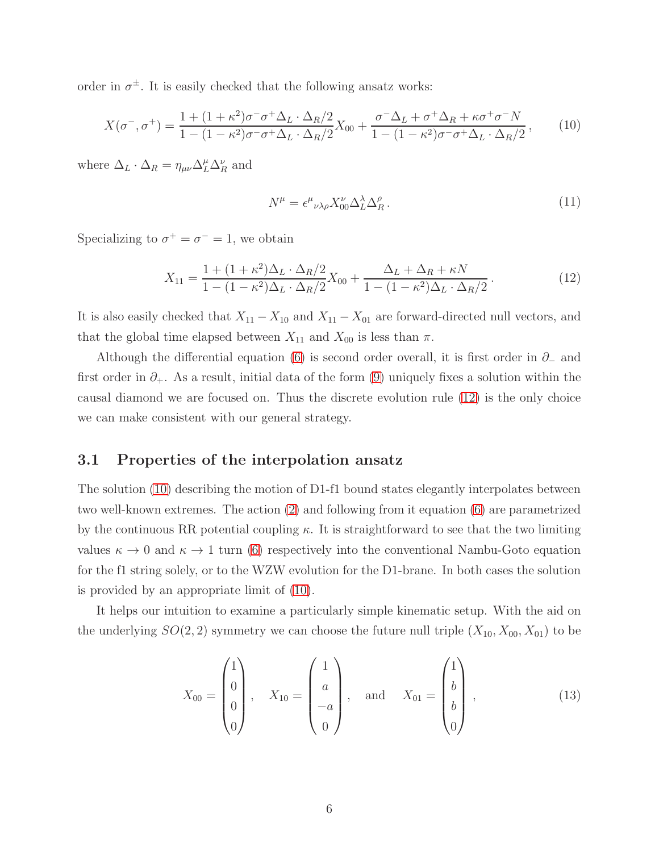order in  $\sigma^{\pm}$ . It is easily checked that the following ansatz works:

<span id="page-6-2"></span>
$$
X(\sigma^-,\sigma^+) = \frac{1 + (1 + \kappa^2)\sigma^- \sigma^+ \Delta_L \cdot \Delta_R/2}{1 - (1 - \kappa^2)\sigma^- \sigma^+ \Delta_L \cdot \Delta_R/2} X_{00} + \frac{\sigma^- \Delta_L + \sigma^+ \Delta_R + \kappa \sigma^+ \sigma^- N}{1 - (1 - \kappa^2)\sigma^- \sigma^+ \Delta_L \cdot \Delta_R/2},\tag{10}
$$

where  $\Delta_L \cdot \Delta_R = \eta_{\mu\nu} \Delta_L^{\mu} \Delta_R^{\nu}$  and

$$
N^{\mu} = \epsilon^{\mu}{}_{\nu\lambda\rho} X^{\nu}_{00} \Delta^{\lambda}_{L} \Delta^{\rho}_{R} \,. \tag{11}
$$

Specializing to  $\sigma^+ = \sigma^- = 1$ , we obtain

<span id="page-6-1"></span>
$$
X_{11} = \frac{1 + (1 + \kappa^2)\Delta_L \cdot \Delta_R/2}{1 - (1 - \kappa^2)\Delta_L \cdot \Delta_R/2} X_{00} + \frac{\Delta_L + \Delta_R + \kappa N}{1 - (1 - \kappa^2)\Delta_L \cdot \Delta_R/2}.
$$
 (12)

It is also easily checked that  $X_{11} - X_{10}$  and  $X_{11} - X_{01}$  are forward-directed null vectors, and that the global time elapsed between  $X_{11}$  and  $X_{00}$  is less than  $\pi$ .

Although the differential equation [\(6\)](#page-4-3) is second order overall, it is first order in  $\partial_-\$  and first order in  $\partial_{+}$ . As a result, initial data of the form [\(9\)](#page-5-2) uniquely fixes a solution within the causal diamond we are focused on. Thus the discrete evolution rule [\(12\)](#page-6-1) is the only choice we can make consistent with our general strategy.

#### <span id="page-6-0"></span>3.1 Properties of the interpolation ansatz

The solution [\(10\)](#page-6-2) describing the motion of D1-f1 bound states elegantly interpolates between two well-known extremes. The action [\(2\)](#page-3-1) and following from it equation [\(6\)](#page-4-3) are parametrized by the continuous RR potential coupling  $\kappa$ . It is straightforward to see that the two limiting values  $\kappa \to 0$  and  $\kappa \to 1$  turn [\(6\)](#page-4-3) respectively into the conventional Nambu-Goto equation for the f1 string solely, or to the WZW evolution for the D1-brane. In both cases the solution is provided by an appropriate limit of [\(10\)](#page-6-2).

It helps our intuition to examine a particularly simple kinematic setup. With the aid on the underlying  $SO(2, 2)$  symmetry we can choose the future null triple  $(X_{10}, X_{00}, X_{01})$  to be

$$
X_{00} = \begin{pmatrix} 1 \\ 0 \\ 0 \\ 0 \end{pmatrix}, \quad X_{10} = \begin{pmatrix} 1 \\ a \\ -a \\ 0 \end{pmatrix}, \quad \text{and} \quad X_{01} = \begin{pmatrix} 1 \\ b \\ b \\ 0 \end{pmatrix}, \tag{13}
$$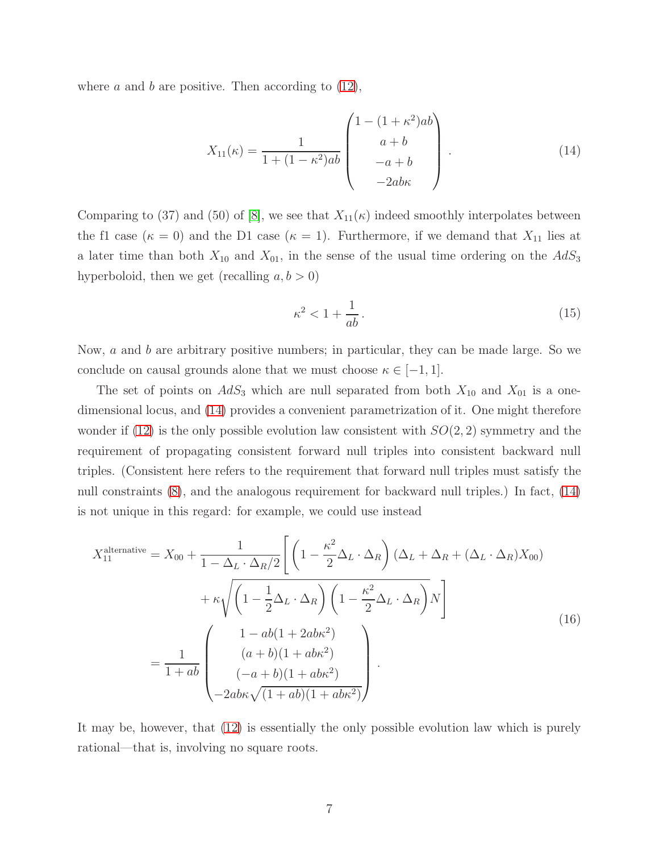where  $a$  and  $b$  are positive. Then according to  $(12)$ ,

<span id="page-7-0"></span>
$$
X_{11}(\kappa) = \frac{1}{1 + (1 - \kappa^2)ab} \begin{pmatrix} 1 - (1 + \kappa^2)ab \\ a + b \\ -a + b \\ -2ab\kappa \end{pmatrix} . \tag{14}
$$

Comparing to (37) and (50) of [\[8\]](#page-17-7), we see that  $X_{11}(\kappa)$  indeed smoothly interpolates between the f1 case ( $\kappa = 0$ ) and the D1 case ( $\kappa = 1$ ). Furthermore, if we demand that  $X_{11}$  lies at a later time than both  $X_{10}$  and  $X_{01}$ , in the sense of the usual time ordering on the  $AdS_3$ hyperboloid, then we get (recalling  $a, b > 0$ )

$$
\kappa^2 < 1 + \frac{1}{ab} \,. \tag{15}
$$

Now, a and b are arbitrary positive numbers; in particular, they can be made large. So we conclude on causal grounds alone that we must choose  $\kappa \in [-1, 1]$ .

The set of points on  $AdS_3$  which are null separated from both  $X_{10}$  and  $X_{01}$  is a onedimensional locus, and [\(14\)](#page-7-0) provides a convenient parametrization of it. One might therefore wonder if [\(12\)](#page-6-1) is the only possible evolution law consistent with  $SO(2, 2)$  symmetry and the requirement of propagating consistent forward null triples into consistent backward null triples. (Consistent here refers to the requirement that forward null triples must satisfy the null constraints [\(8\)](#page-5-0), and the analogous requirement for backward null triples.) In fact, [\(14\)](#page-7-0) is not unique in this regard: for example, we could use instead

<span id="page-7-1"></span>
$$
X_{11}^{\text{alternative}} = X_{00} + \frac{1}{1 - \Delta_L \cdot \Delta_R/2} \left[ \left( 1 - \frac{\kappa^2}{2} \Delta_L \cdot \Delta_R \right) (\Delta_L + \Delta_R + (\Delta_L \cdot \Delta_R) X_{00}) + \kappa \sqrt{\left( 1 - \frac{1}{2} \Delta_L \cdot \Delta_R \right) \left( 1 - \frac{\kappa^2}{2} \Delta_L \cdot \Delta_R \right)} N \right]
$$
  

$$
= \frac{1}{1 + ab} \left( \frac{1 - ab(1 + 2ab\kappa^2)}{(a + b)(1 + ab\kappa^2)} - \frac{1}{1 + ab} \left( \frac{(a + b)(1 + ab\kappa^2)}{(-a + b)(1 + ab\kappa^2)} \right).
$$
(16)

It may be, however, that [\(12\)](#page-6-1) is essentially the only possible evolution law which is purely rational—that is, involving no square roots.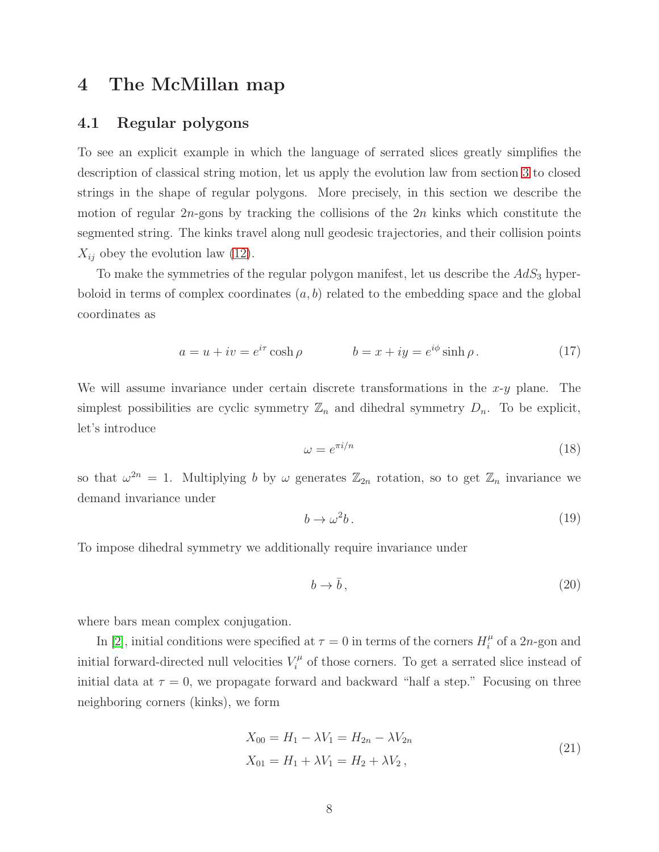# <span id="page-8-1"></span><span id="page-8-0"></span>4 The McMillan map

#### 4.1 Regular polygons

To see an explicit example in which the language of serrated slices greatly simplifies the description of classical string motion, let us apply the evolution law from section [3](#page-4-0) to closed strings in the shape of regular polygons. More precisely, in this section we describe the motion of regular  $2n$ -gons by tracking the collisions of the  $2n$  kinks which constitute the segmented string. The kinks travel along null geodesic trajectories, and their collision points  $X_{ij}$  obey the evolution law [\(12\)](#page-6-1).

To make the symmetries of the regular polygon manifest, let us describe the  $AdS<sub>3</sub>$  hyperboloid in terms of complex coordinates  $(a, b)$  related to the embedding space and the global coordinates as

$$
a = u + iv = e^{i\tau} \cosh \rho \qquad b = x + iy = e^{i\phi} \sinh \rho. \tag{17}
$$

We will assume invariance under certain discrete transformations in the  $x-y$  plane. The simplest possibilities are cyclic symmetry  $\mathbb{Z}_n$  and dihedral symmetry  $D_n$ . To be explicit, let's introduce

$$
\omega = e^{\pi i/n} \tag{18}
$$

so that  $\omega^{2n} = 1$ . Multiplying b by  $\omega$  generates  $\mathbb{Z}_{2n}$  rotation, so to get  $\mathbb{Z}_n$  invariance we demand invariance under

$$
b \to \omega^2 b \,. \tag{19}
$$

To impose dihedral symmetry we additionally require invariance under

$$
b \to \bar{b}, \tag{20}
$$

where bars mean complex conjugation.

In [\[2\]](#page-17-1), initial conditions were specified at  $\tau = 0$  in terms of the corners  $H_i^{\mu}$  $\int_i^\mu$  of a 2*n*-gon and initial forward-directed null velocities  $V_i^{\mu}$  $\zeta_i^{\mu}$  of those corners. To get a serrated slice instead of initial data at  $\tau = 0$ , we propagate forward and backward "half a step." Focusing on three neighboring corners (kinks), we form

<span id="page-8-2"></span>
$$
X_{00} = H_1 - \lambda V_1 = H_{2n} - \lambda V_{2n}
$$
  
\n
$$
X_{01} = H_1 + \lambda V_1 = H_2 + \lambda V_2,
$$
\n(21)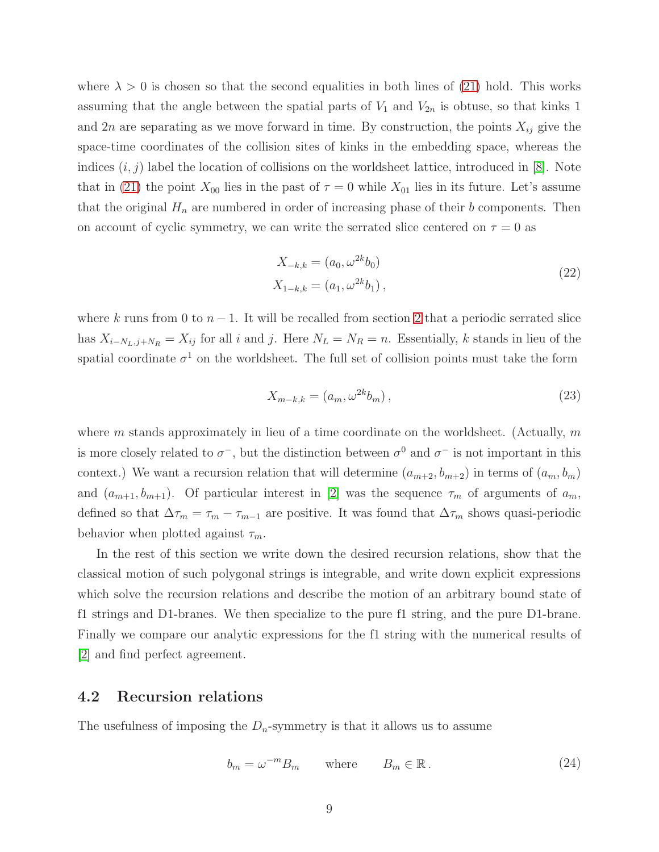where  $\lambda > 0$  is chosen so that the second equalities in both lines of [\(21\)](#page-8-2) hold. This works assuming that the angle between the spatial parts of  $V_1$  and  $V_{2n}$  is obtuse, so that kinks 1 and 2n are separating as we move forward in time. By construction, the points  $X_{ij}$  give the space-time coordinates of the collision sites of kinks in the embedding space, whereas the indices  $(i, j)$  label the location of collisions on the worldsheet lattice, introduced in [\[8\]](#page-17-7). Note that in [\(21\)](#page-8-2) the point  $X_{00}$  lies in the past of  $\tau = 0$  while  $X_{01}$  lies in its future. Let's assume that the original  $H_n$  are numbered in order of increasing phase of their b components. Then on account of cyclic symmetry, we can write the serrated slice centered on  $\tau = 0$  as

$$
X_{-k,k} = (a_0, \omega^{2k} b_0)
$$
  
\n
$$
X_{1-k,k} = (a_1, \omega^{2k} b_1),
$$
\n(22)

where k runs from 0 to  $n-1$ . It will be recalled from section [2](#page-3-0) that a periodic serrated slice has  $X_{i-N_L,j+N_R} = X_{ij}$  for all i and j. Here  $N_L = N_R = n$ . Essentially, k stands in lieu of the spatial coordinate  $\sigma^1$  on the worldsheet. The full set of collision points must take the form

<span id="page-9-1"></span>
$$
X_{m-k,k} = (a_m, \omega^{2k} b_m), \qquad (23)
$$

where m stands approximately in lieu of a time coordinate on the worldsheet. (Actually,  $m$ is more closely related to  $\sigma^-$ , but the distinction between  $\sigma^0$  and  $\sigma^-$  is not important in this context.) We want a recursion relation that will determine  $(a_{m+2}, b_{m+2})$  in terms of  $(a_m, b_m)$ and  $(a_{m+1}, b_{m+1})$ . Of particular interest in [\[2\]](#page-17-1) was the sequence  $\tau_m$  of arguments of  $a_m$ , defined so that  $\Delta \tau_m = \tau_m - \tau_{m-1}$  are positive. It was found that  $\Delta \tau_m$  shows quasi-periodic behavior when plotted against  $\tau_m$ .

In the rest of this section we write down the desired recursion relations, show that the classical motion of such polygonal strings is integrable, and write down explicit expressions which solve the recursion relations and describe the motion of an arbitrary bound state of f1 strings and D1-branes. We then specialize to the pure f1 string, and the pure D1-brane. Finally we compare our analytic expressions for the f1 string with the numerical results of [\[2\]](#page-17-1) and find perfect agreement.

#### <span id="page-9-0"></span>4.2 Recursion relations

The usefulness of imposing the  $D_n$ -symmetry is that it allows us to assume

<span id="page-9-2"></span>
$$
b_m = \omega^{-m} B_m \qquad \text{where} \qquad B_m \in \mathbb{R} \,. \tag{24}
$$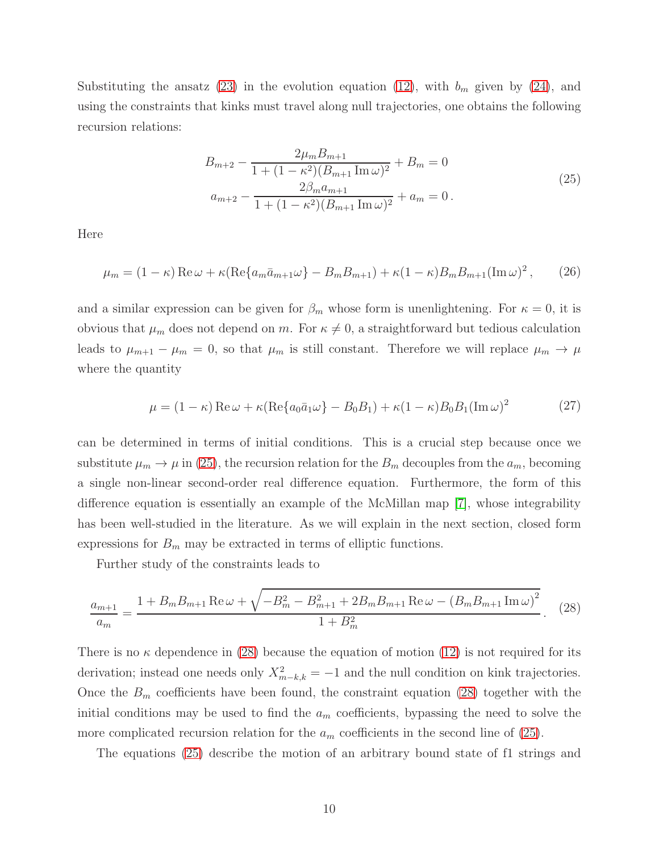Substituting the ansatz [\(23\)](#page-9-1) in the evolution equation [\(12\)](#page-6-1), with  $b_m$  given by [\(24\)](#page-9-2), and using the constraints that kinks must travel along null trajectories, one obtains the following recursion relations:

<span id="page-10-0"></span>
$$
B_{m+2} - \frac{2\mu_m B_{m+1}}{1 + (1 - \kappa^2)(B_{m+1} \operatorname{Im} \omega)^2} + B_m = 0
$$
  

$$
a_{m+2} - \frac{2\beta_m a_{m+1}}{1 + (1 - \kappa^2)(B_{m+1} \operatorname{Im} \omega)^2} + a_m = 0.
$$
 (25)

Here

$$
\mu_m = (1 - \kappa) \operatorname{Re} \omega + \kappa (\operatorname{Re} \{ a_m \bar{a}_{m+1} \omega \} - B_m B_{m+1}) + \kappa (1 - \kappa) B_m B_{m+1} (\operatorname{Im} \omega)^2, \qquad (26)
$$

and a similar expression can be given for  $\beta_m$  whose form is unenlightening. For  $\kappa = 0$ , it is obvious that  $\mu_m$  does not depend on m. For  $\kappa \neq 0$ , a straightforward but tedious calculation leads to  $\mu_{m+1} - \mu_m = 0$ , so that  $\mu_m$  is still constant. Therefore we will replace  $\mu_m \to \mu$ where the quantity

$$
\mu = (1 - \kappa) \operatorname{Re} \omega + \kappa (\operatorname{Re} \{ a_0 \bar{a}_1 \omega \} - B_0 B_1) + \kappa (1 - \kappa) B_0 B_1 (\operatorname{Im} \omega)^2 \tag{27}
$$

can be determined in terms of initial conditions. This is a crucial step because once we substitute  $\mu_m \to \mu$  in [\(25\)](#page-10-0), the recursion relation for the  $B_m$  decouples from the  $a_m$ , becoming a single non-linear second-order real difference equation. Furthermore, the form of this difference equation is essentially an example of the McMillan map [\[7\]](#page-17-6), whose integrability has been well-studied in the literature. As we will explain in the next section, closed form expressions for  $B_m$  may be extracted in terms of elliptic functions.

Further study of the constraints leads to

<span id="page-10-1"></span>
$$
\frac{a_{m+1}}{a_m} = \frac{1 + B_m B_{m+1} \operatorname{Re} \omega + \sqrt{-B_m^2 - B_{m+1}^2 + 2B_m B_{m+1} \operatorname{Re} \omega - (B_m B_{m+1} \operatorname{Im} \omega)^2}}{1 + B_m^2}.
$$
 (28)

There is no  $\kappa$  dependence in [\(28\)](#page-10-1) because the equation of motion [\(12\)](#page-6-1) is not required for its derivation; instead one needs only  $X_{m-k,k}^2 = -1$  and the null condition on kink trajectories. Once the  $B_m$  coefficients have been found, the constraint equation [\(28\)](#page-10-1) together with the initial conditions may be used to find the  $a_m$  coefficients, bypassing the need to solve the more complicated recursion relation for the  $a_m$  coefficients in the second line of [\(25\)](#page-10-0).

The equations [\(25\)](#page-10-0) describe the motion of an arbitrary bound state of f1 strings and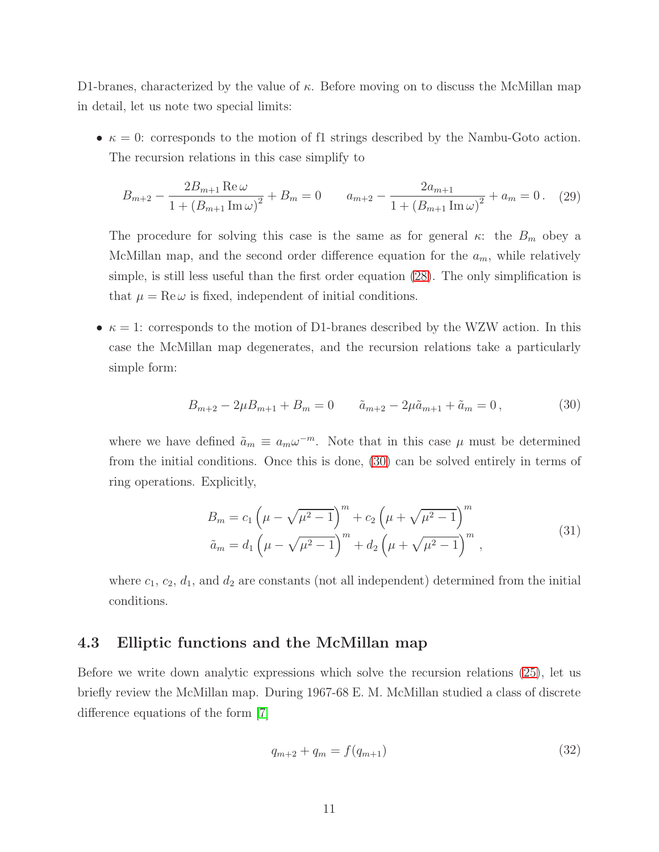D1-branes, characterized by the value of  $\kappa$ . Before moving on to discuss the McMillan map in detail, let us note two special limits:

•  $\kappa = 0$ : corresponds to the motion of f1 strings described by the Nambu-Goto action. The recursion relations in this case simplify to

$$
B_{m+2} - \frac{2B_{m+1}\operatorname{Re}\omega}{1 + (B_{m+1}\operatorname{Im}\omega)^2} + B_m = 0 \qquad a_{m+2} - \frac{2a_{m+1}}{1 + (B_{m+1}\operatorname{Im}\omega)^2} + a_m = 0. \tag{29}
$$

The procedure for solving this case is the same as for general  $\kappa$ : the  $B_m$  obey a McMillan map, and the second order difference equation for the  $a_m$ , while relatively simple, is still less useful than the first order equation [\(28\)](#page-10-1). The only simplification is that  $\mu = \text{Re}\,\omega$  is fixed, independent of initial conditions.

•  $\kappa = 1$ : corresponds to the motion of D1-branes described by the WZW action. In this case the McMillan map degenerates, and the recursion relations take a particularly simple form:

<span id="page-11-1"></span>
$$
B_{m+2} - 2\mu B_{m+1} + B_m = 0 \qquad \tilde{a}_{m+2} - 2\mu \tilde{a}_{m+1} + \tilde{a}_m = 0, \qquad (30)
$$

where we have defined  $\tilde{a}_m \equiv a_m \omega^{-m}$ . Note that in this case  $\mu$  must be determined from the initial conditions. Once this is done, [\(30\)](#page-11-1) can be solved entirely in terms of ring operations. Explicitly,

$$
B_m = c_1 \left(\mu - \sqrt{\mu^2 - 1}\right)^m + c_2 \left(\mu + \sqrt{\mu^2 - 1}\right)^m
$$
  
\n
$$
\tilde{a}_m = d_1 \left(\mu - \sqrt{\mu^2 - 1}\right)^m + d_2 \left(\mu + \sqrt{\mu^2 - 1}\right)^m,
$$
\n(31)

where  $c_1, c_2, d_1$ , and  $d_2$  are constants (not all independent) determined from the initial conditions.

#### <span id="page-11-0"></span>4.3 Elliptic functions and the McMillan map

Before we write down analytic expressions which solve the recursion relations [\(25\)](#page-10-0), let us briefly review the McMillan map. During 1967-68 E. M. McMillan studied a class of discrete difference equations of the form [\[7\]](#page-17-6)

<span id="page-11-2"></span>
$$
q_{m+2} + q_m = f(q_{m+1}) \tag{32}
$$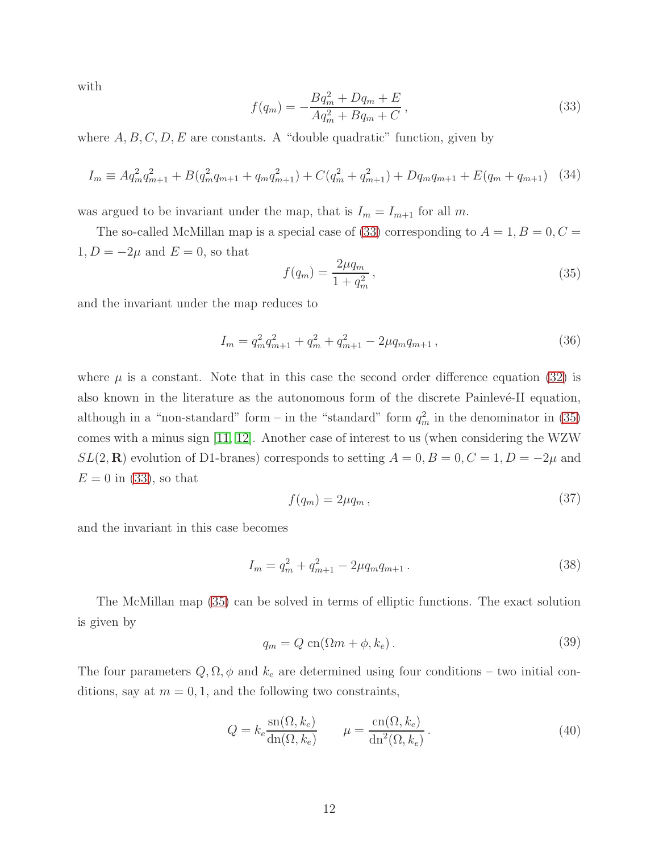with

<span id="page-12-0"></span>
$$
f(q_m) = -\frac{Bq_m^2 + Dq_m + E}{Aq_m^2 + Bq_m + C},
$$
\n(33)

where  $A, B, C, D, E$  are constants. A "double quadratic" function, given by

$$
I_m \equiv A q_m^2 q_{m+1}^2 + B(q_m^2 q_{m+1} + q_m q_{m+1}^2) + C(q_m^2 + q_{m+1}^2) + Dq_m q_{m+1} + E(q_m + q_{m+1}) \tag{34}
$$

was argued to be invariant under the map, that is  $I_m = I_{m+1}$  for all m.

The so-called McMillan map is a special case of [\(33\)](#page-12-0) corresponding to  $A = 1, B = 0, C =$  $1, D = -2\mu$  and  $E = 0$ , so that

<span id="page-12-1"></span>
$$
f(q_m) = \frac{2\mu q_m}{1 + q_m^2},
$$
\n(35)

and the invariant under the map reduces to

<span id="page-12-2"></span>
$$
I_m = q_m^2 q_{m+1}^2 + q_m^2 + q_{m+1}^2 - 2\mu q_m q_{m+1} \,, \tag{36}
$$

where  $\mu$  is a constant. Note that in this case the second order difference equation [\(32\)](#page-11-2) is also known in the literature as the autonomous form of the discrete Painlevé-II equation, although in a "non-standard" form – in the "standard" form  $q_m^2$  in the denominator in [\(35\)](#page-12-1) comes with a minus sign [\[11,](#page-17-10) [12\]](#page-17-11). Another case of interest to us (when considering the WZW  $SL(2,\mathbf{R})$  evolution of D1-branes) corresponds to setting  $A = 0, B = 0, C = 1, D = -2\mu$  and  $E = 0$  in [\(33\)](#page-12-0), so that

$$
f(q_m) = 2\mu q_m \,,\tag{37}
$$

and the invariant in this case becomes

$$
I_m = q_m^2 + q_{m+1}^2 - 2\mu q_m q_{m+1} \,. \tag{38}
$$

The McMillan map [\(35\)](#page-12-1) can be solved in terms of elliptic functions. The exact solution is given by

<span id="page-12-3"></span>
$$
q_m = Q \operatorname{cn}(\Omega m + \phi, k_e). \tag{39}
$$

The four parameters  $Q, \Omega, \phi$  and  $k_e$  are determined using four conditions – two initial conditions, say at  $m = 0, 1$ , and the following two constraints,

$$
Q = k_e \frac{\operatorname{sn}(\Omega, k_e)}{\operatorname{dn}(\Omega, k_e)} \qquad \mu = \frac{\operatorname{cn}(\Omega, k_e)}{\operatorname{dn}^2(\Omega, k_e)}.
$$
\n(40)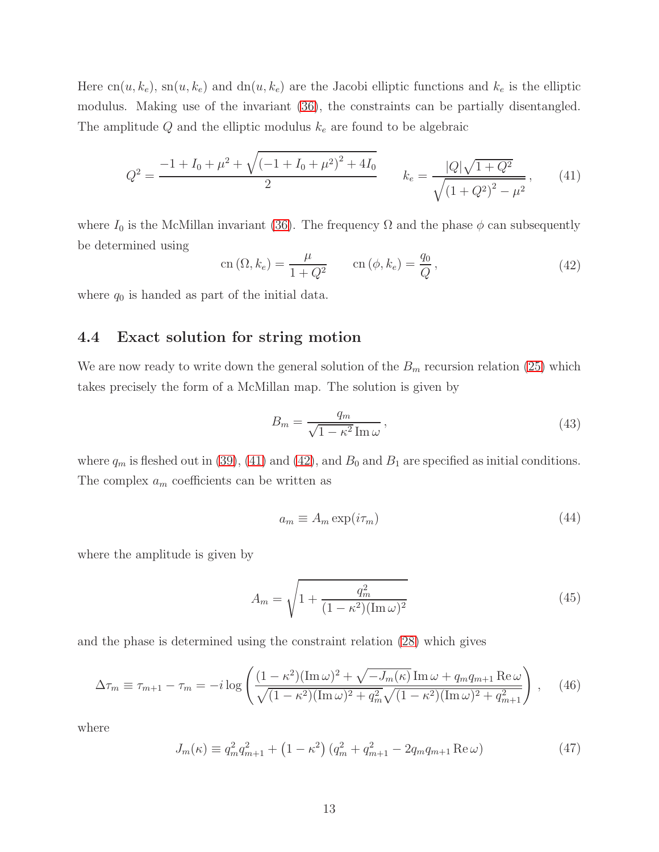Here  $cn(u, k_e)$ ,  $sn(u, k_e)$  and  $dn(u, k_e)$  are the Jacobi elliptic functions and  $k_e$  is the elliptic modulus. Making use of the invariant [\(36\)](#page-12-2), the constraints can be partially disentangled. The amplitude Q and the elliptic modulus  $k_e$  are found to be algebraic

<span id="page-13-1"></span>
$$
Q^{2} = \frac{-1 + I_{0} + \mu^{2} + \sqrt{(-1 + I_{0} + \mu^{2})^{2} + 4I_{0}}}{2} \qquad k_{e} = \frac{|Q|\sqrt{1 + Q^{2}}}{\sqrt{(1 + Q^{2})^{2} - \mu^{2}}},\qquad(41)
$$

where  $I_0$  is the McMillan invariant [\(36\)](#page-12-2). The frequency  $\Omega$  and the phase  $\phi$  can subsequently be determined using

<span id="page-13-2"></span>
$$
\operatorname{cn}(\Omega, k_e) = \frac{\mu}{1 + Q^2} \qquad \operatorname{cn}(\phi, k_e) = \frac{q_0}{Q},\tag{42}
$$

<span id="page-13-0"></span>where  $q_0$  is handed as part of the initial data.

#### 4.4 Exact solution for string motion

We are now ready to write down the general solution of the  $B<sub>m</sub>$  recursion relation [\(25\)](#page-10-0) which takes precisely the form of a McMillan map. The solution is given by

<span id="page-13-3"></span>
$$
B_m = \frac{q_m}{\sqrt{1 - \kappa^2} \operatorname{Im} \omega},\tag{43}
$$

where  $q_m$  is fleshed out in [\(39\)](#page-12-3), [\(41\)](#page-13-1) and [\(42\)](#page-13-2), and  $B_0$  and  $B_1$  are specified as initial conditions. The complex  $a_m$  coefficients can be written as

$$
a_m \equiv A_m \exp(i\tau_m) \tag{44}
$$

where the amplitude is given by

$$
A_m = \sqrt{1 + \frac{q_m^2}{(1 - \kappa^2)(\text{Im}\,\omega)^2}}
$$
(45)

and the phase is determined using the constraint relation [\(28\)](#page-10-1) which gives

<span id="page-13-4"></span>
$$
\Delta \tau_m \equiv \tau_{m+1} - \tau_m = -i \log \left( \frac{(1 - \kappa^2)(\text{Im}\,\omega)^2 + \sqrt{-J_m(\kappa)} \,\text{Im}\,\omega + q_m q_{m+1} \,\text{Re}\,\omega}{\sqrt{(1 - \kappa^2)(\text{Im}\,\omega)^2 + q_m^2} \sqrt{(1 - \kappa^2)(\text{Im}\,\omega)^2 + q_{m+1}^2}} \right) \,, \tag{46}
$$

where

$$
J_m(\kappa) \equiv q_m^2 q_{m+1}^2 + \left(1 - \kappa^2\right) \left(q_m^2 + q_{m+1}^2 - 2q_m q_{m+1} \operatorname{Re} \omega\right)
$$
(47)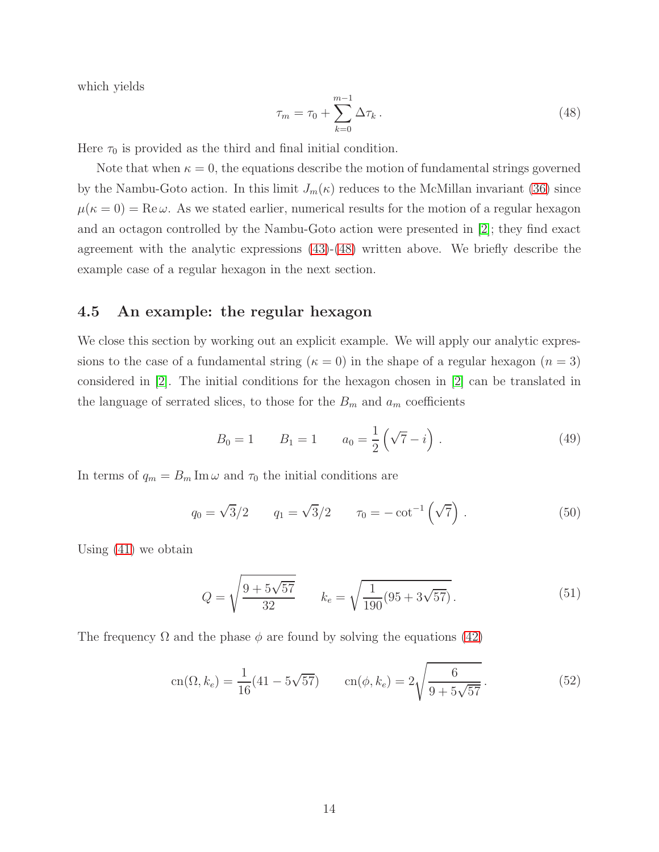which yields

<span id="page-14-1"></span>
$$
\tau_m = \tau_0 + \sum_{k=0}^{m-1} \Delta \tau_k \,. \tag{48}
$$

Here  $\tau_0$  is provided as the third and final initial condition.

Note that when  $\kappa = 0$ , the equations describe the motion of fundamental strings governed by the Nambu-Goto action. In this limit  $J_m(\kappa)$  reduces to the McMillan invariant [\(36\)](#page-12-2) since  $\mu(\kappa = 0) = \text{Re}\,\omega$ . As we stated earlier, numerical results for the motion of a regular hexagon and an octagon controlled by the Nambu-Goto action were presented in [\[2\]](#page-17-1); they find exact agreement with the analytic expressions  $(43)-(48)$  $(43)-(48)$  written above. We briefly describe the example case of a regular hexagon in the next section.

#### <span id="page-14-0"></span>4.5 An example: the regular hexagon

We close this section by working out an explicit example. We will apply our analytic expressions to the case of a fundamental string ( $\kappa = 0$ ) in the shape of a regular hexagon ( $n = 3$ ) considered in [\[2\]](#page-17-1). The initial conditions for the hexagon chosen in [\[2\]](#page-17-1) can be translated in the language of serrated slices, to those for the  $B_m$  and  $a_m$  coefficients

$$
B_0 = 1 \t B_1 = 1 \t a_0 = \frac{1}{2} (\sqrt{7} - i) . \t (49)
$$

In terms of  $q_m = B_m \text{Im} \omega$  and  $\tau_0$  the initial conditions are

$$
q_0 = \sqrt{3}/2
$$
  $q_1 = \sqrt{3}/2$   $\tau_0 = -\cot^{-1}(\sqrt{7})$ . (50)

Using [\(41\)](#page-13-1) we obtain

$$
Q = \sqrt{\frac{9 + 5\sqrt{57}}{32}} \qquad k_e = \sqrt{\frac{1}{190}(95 + 3\sqrt{57})}.
$$
 (51)

The frequency  $\Omega$  and the phase  $\phi$  are found by solving the equations [\(42\)](#page-13-2)

$$
\operatorname{cn}(\Omega, k_e) = \frac{1}{16} (41 - 5\sqrt{57}) \qquad \operatorname{cn}(\phi, k_e) = 2\sqrt{\frac{6}{9 + 5\sqrt{57}}} \,. \tag{52}
$$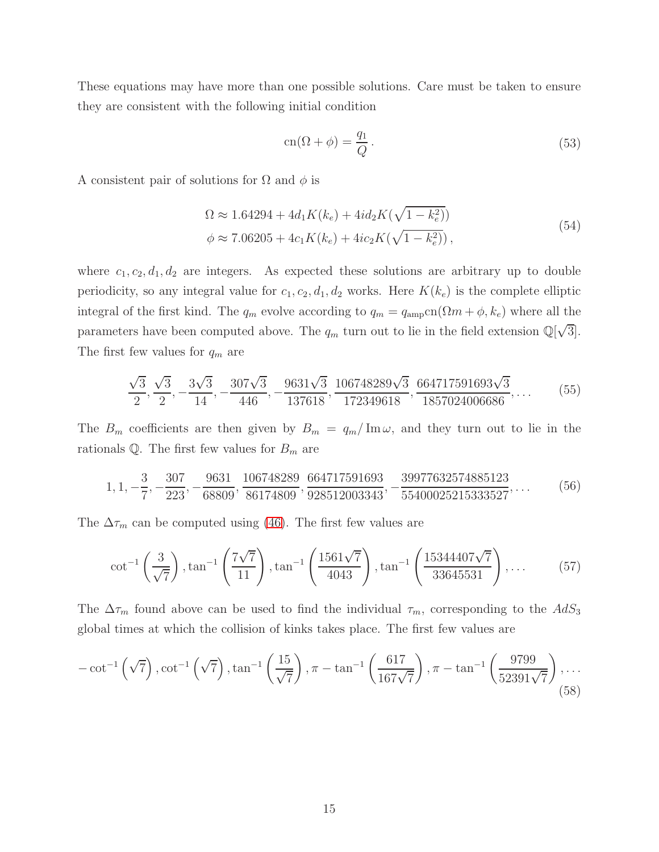These equations may have more than one possible solutions. Care must be taken to ensure they are consistent with the following initial condition

$$
\operatorname{cn}(\Omega + \phi) = \frac{q_1}{Q}.\tag{53}
$$

A consistent pair of solutions for  $\Omega$  and  $\phi$  is

$$
\Omega \approx 1.64294 + 4d_1 K(k_e) + 4id_2 K(\sqrt{1 - k_e^2})
$$
  
\n
$$
\phi \approx 7.06205 + 4c_1 K(k_e) + 4ic_2 K(\sqrt{1 - k_e^2}),
$$
\n(54)

where  $c_1, c_2, d_1, d_2$  are integers. As expected these solutions are arbitrary up to double periodicity, so any integral value for  $c_1, c_2, d_1, d_2$  works. Here  $K(k_e)$  is the complete elliptic integral of the first kind. The  $q_m$  evolve according to  $q_m = q_{\text{amp}}cn(\Omega m + \phi, k_e)$  where all the parameters have been computed above. The  $q_m$  turn out to lie in the field extension  $\mathbb{Q}[\sqrt{3}]$ . The first few values for  $q_m$  are

$$
\frac{\sqrt{3}}{2}, \frac{\sqrt{3}}{2}, -\frac{3\sqrt{3}}{14}, -\frac{307\sqrt{3}}{446}, -\frac{9631\sqrt{3}}{137618}, \frac{106748289\sqrt{3}}{172349618}, \frac{664717591693\sqrt{3}}{1857024006686}, \dots
$$
 (55)

The  $B_m$  coefficients are then given by  $B_m = q_m / \text{Im}\,\omega$ , and they turn out to lie in the rationals  $\mathbb{Q}$ . The first few values for  $B_m$  are

$$
1, 1, -\frac{3}{7}, -\frac{307}{223}, -\frac{9631}{68809}, \frac{106748289}{86174809}, \frac{664717591693}{928512003343}, -\frac{39977632574885123}{55400025215333527}, \dots
$$
(56)

The  $\Delta \tau_m$  can be computed using [\(46\)](#page-13-4). The first few values are

<span id="page-15-0"></span>
$$
\cot^{-1}\left(\frac{3}{\sqrt{7}}\right), \tan^{-1}\left(\frac{7\sqrt{7}}{11}\right), \tan^{-1}\left(\frac{1561\sqrt{7}}{4043}\right), \tan^{-1}\left(\frac{15344407\sqrt{7}}{33645531}\right), \dots \tag{57}
$$

The  $\Delta \tau_m$  found above can be used to find the individual  $\tau_m$ , corresponding to the  $AdS_3$ global times at which the collision of kinks takes place. The first few values are

$$
-\cot^{-1}\left(\sqrt{7}\right), \cot^{-1}\left(\sqrt{7}\right), \tan^{-1}\left(\frac{15}{\sqrt{7}}\right), \pi - \tan^{-1}\left(\frac{617}{167\sqrt{7}}\right), \pi - \tan^{-1}\left(\frac{9799}{52391\sqrt{7}}\right), \dots
$$
\n(58)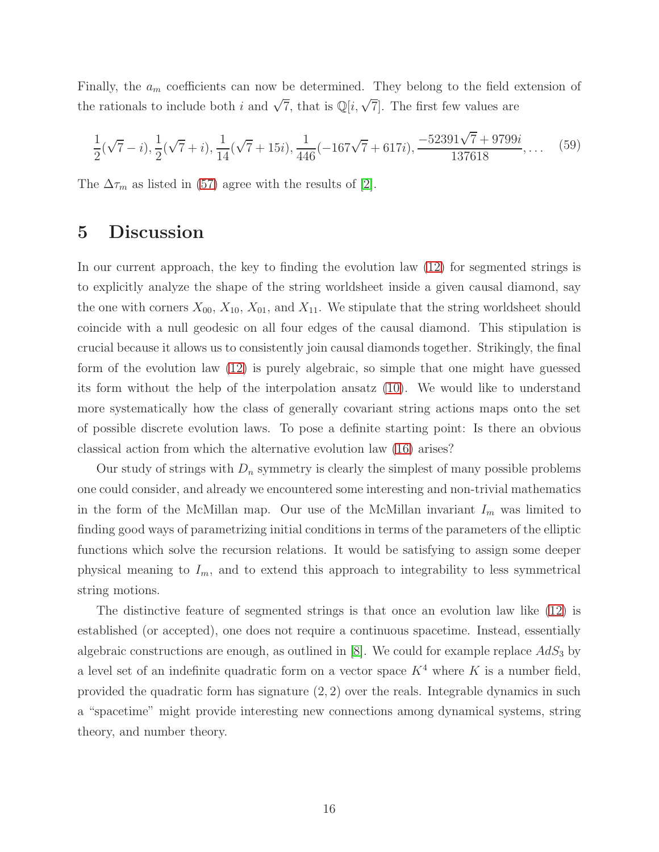Finally, the  $a_m$  coefficients can now be determined. They belong to the field extension of the rationals to include both i and  $\sqrt{7}$ , that is  $\mathbb{Q}[i,\sqrt{7}]$ . The first few values are

$$
\frac{1}{2}(\sqrt{7}-i), \frac{1}{2}(\sqrt{7}+i), \frac{1}{14}(\sqrt{7}+15i), \frac{1}{446}(-167\sqrt{7}+617i), \frac{-52391\sqrt{7}+9799i}{137618}, \dots \tag{59}
$$

<span id="page-16-0"></span>The  $\Delta \tau_m$  as listed in [\(57\)](#page-15-0) agree with the results of [\[2\]](#page-17-1).

# 5 Discussion

In our current approach, the key to finding the evolution law [\(12\)](#page-6-1) for segmented strings is to explicitly analyze the shape of the string worldsheet inside a given causal diamond, say the one with corners  $X_{00}$ ,  $X_{10}$ ,  $X_{01}$ , and  $X_{11}$ . We stipulate that the string worldsheet should coincide with a null geodesic on all four edges of the causal diamond. This stipulation is crucial because it allows us to consistently join causal diamonds together. Strikingly, the final form of the evolution law [\(12\)](#page-6-1) is purely algebraic, so simple that one might have guessed its form without the help of the interpolation ansatz [\(10\)](#page-6-2). We would like to understand more systematically how the class of generally covariant string actions maps onto the set of possible discrete evolution laws. To pose a definite starting point: Is there an obvious classical action from which the alternative evolution law [\(16\)](#page-7-1) arises?

Our study of strings with  $D_n$  symmetry is clearly the simplest of many possible problems one could consider, and already we encountered some interesting and non-trivial mathematics in the form of the McMillan map. Our use of the McMillan invariant  $I_m$  was limited to finding good ways of parametrizing initial conditions in terms of the parameters of the elliptic functions which solve the recursion relations. It would be satisfying to assign some deeper physical meaning to  $I_m$ , and to extend this approach to integrability to less symmetrical string motions.

The distinctive feature of segmented strings is that once an evolution law like [\(12\)](#page-6-1) is established (or accepted), one does not require a continuous spacetime. Instead, essentially algebraic constructions are enough, as outlined in [\[8\]](#page-17-7). We could for example replace  $AdS_3$  by a level set of an indefinite quadratic form on a vector space  $K^4$  where K is a number field, provided the quadratic form has signature (2, 2) over the reals. Integrable dynamics in such a "spacetime" might provide interesting new connections among dynamical systems, string theory, and number theory.